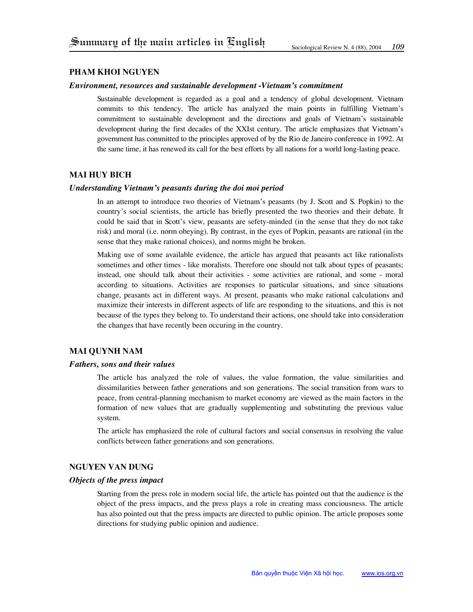# **Pham khoi Nguyen**

#### *Environment, resources and sustainable development -Vietnam's commitment*

Sustainable development is regarded as a goal and a tendency of global development. Vietnam commits to this tendency. The article has analyzed the main points in fulfilling Vietnam's commitment to sustainable development and the directions and goals of Vietnam's sustainable development during the first decades of the XXIst century. The article emphasizes that Vietnam's government has committed to the principles approved of by the Rio de Janeiro conference in 1992. At the same time, it has renewed its call for the best efforts by all nations for a world long-lasting peace.

# **mai huy bich**

### *Understanding Vietnam's peasants during the doi moi period*

In an attempt to introduce two theories of Vietnam's peasants (by J. Scott and S. Popkin) to the country's social scientists, the article has briefly presented the two theories and their debate. It could be said that in Scott's view, peasants are sefety-minded (in the sense that they do not take risk) and moral (i.e. norm obeying). By contrast, in the eyes of Popkin, peasants are rational (in the sense that they make rational choices), and norms might be broken.

Making use of some available evidence, the article has argued that peasants act like rationalists sometimes and other times - like moralists. Therefore one should not talk about types of peasants; instead, one should talk about their activities - some activities are rational, and some - moral according to situations. Activities are responses to particular situations, and since situations change, peasants act in different ways. At present, peasants who make rational calculations and maximize their interests in different aspects of life are responding to the situations, and this is not because of the types they belong to. To understand their actions, one should take into consideration the changes that have recently been occuring in the country.

## **mai quynh nam**

#### *Fathers, sons and their values*

The article has analyzed the role of values, the value formation, the value similarities and dissimilarities between father generations and son generations. The social transition from wars to peace, from central-planning mechanism to market economy are viewed as the main factors in the formation of new values that are gradually supplementing and substituting the previous value system.

The article has emphasized the role of cultural factors and social consensus in resolving the value conflicts between father generations and son generations.

### **Nguyen van dung**

### *Objects of the press impact*

Starting from the press role in modern social life, the article has pointed out that the audience is the object of the press impacts, and the press plays a role in creating mass conciousness. The article has also pointed out that the press impacts are directed to public opinion. The article proposes some directions for studying public opinion and audience.